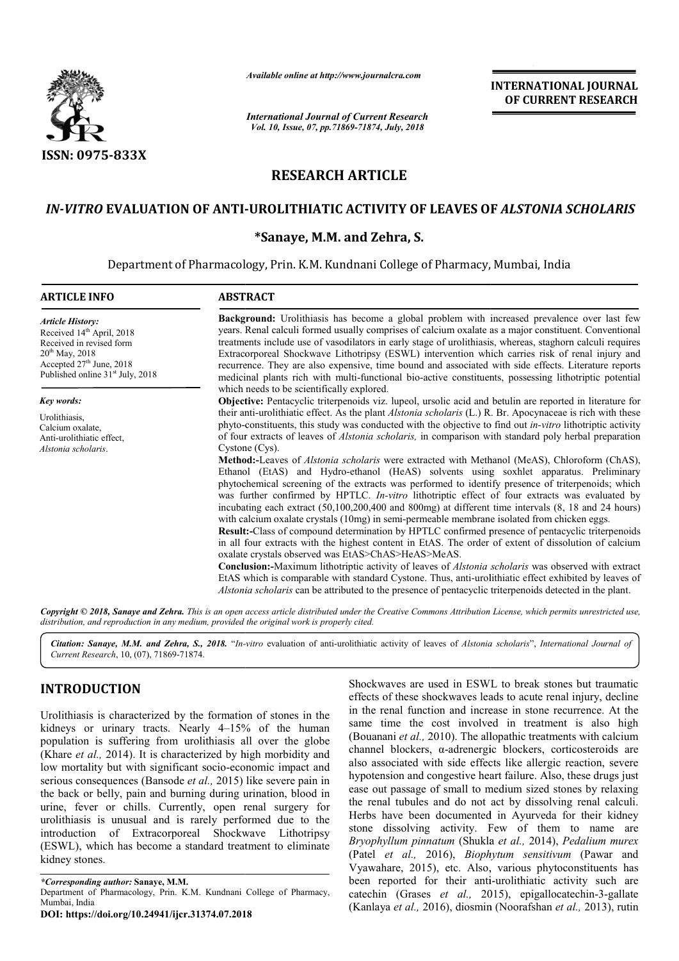

*Available online at http://www.journalcra.com*

*International Journal of Current Research Vol. 10, Issue, 07, pp.71869-71874, July, 2018*

**INTERNATIONAL JOURNAL OF CURRENT RESEARCH**

# **RESEARCH ARTICLE**

# IN-VITRO EVALUATION OF ANTI-UROLITHIATIC ACTIVITY OF LEAVES OF *ALSTONIA SCHOLARIS*

## **\*Sanaye, M.M. and Zehra, S.**

Department of Pharmacology, Prin. K.M. Kundnani College of Pharmacy, Mumbai, India

| <b>ARTICLE INFO</b>                                                                                                                                                                               | <b>ABSTRACT</b>                                                                                                                                                                                                                                                                                                                                                                                                                                                                                                                                                                                                                                                                                                                                                                                                                                                                                                                                                                                                                                                                                                                                                                                                                                                                                                                                                                                                                                                                                                                                                                                                       |  |  |
|---------------------------------------------------------------------------------------------------------------------------------------------------------------------------------------------------|-----------------------------------------------------------------------------------------------------------------------------------------------------------------------------------------------------------------------------------------------------------------------------------------------------------------------------------------------------------------------------------------------------------------------------------------------------------------------------------------------------------------------------------------------------------------------------------------------------------------------------------------------------------------------------------------------------------------------------------------------------------------------------------------------------------------------------------------------------------------------------------------------------------------------------------------------------------------------------------------------------------------------------------------------------------------------------------------------------------------------------------------------------------------------------------------------------------------------------------------------------------------------------------------------------------------------------------------------------------------------------------------------------------------------------------------------------------------------------------------------------------------------------------------------------------------------------------------------------------------------|--|--|
| <b>Article History:</b><br>Received 14 <sup>th</sup> April, 2018<br>Received in revised form<br>$20^{th}$ May, 2018<br>Accepted $27th$ June, 2018<br>Published online 31 <sup>st</sup> July, 2018 | <b>Background:</b> Urolithiasis has become a global problem with increased prevalence over last few<br>years. Renal calculi formed usually comprises of calcium oxalate as a major constituent. Conventional<br>treatments include use of vasodilators in early stage of urolithiasis, whereas, staghorn calculi requires<br>Extracorporeal Shockwave Lithotripsy (ESWL) intervention which carries risk of renal injury and<br>recurrence. They are also expensive, time bound and associated with side effects. Literature reports<br>medicinal plants rich with multi-functional bio-active constituents, possessing lithotriptic potential<br>which needs to be scientifically explored.                                                                                                                                                                                                                                                                                                                                                                                                                                                                                                                                                                                                                                                                                                                                                                                                                                                                                                                          |  |  |
| Key words:                                                                                                                                                                                        | Objective: Pentacyclic triterpenoids viz. lupeol, ursolic acid and betulin are reported in literature for                                                                                                                                                                                                                                                                                                                                                                                                                                                                                                                                                                                                                                                                                                                                                                                                                                                                                                                                                                                                                                                                                                                                                                                                                                                                                                                                                                                                                                                                                                             |  |  |
| Urolithiasis,<br>Calcium oxalate,<br>Anti-urolithiatic effect.<br>Alstonia scholaris.                                                                                                             | their anti-urolithiatic effect. As the plant <i>Alstonia scholaris</i> (L.) R. Br. Apocynaceae is rich with these<br>phyto-constituents, this study was conducted with the objective to find out <i>in-vitro</i> lithotriptic activity<br>of four extracts of leaves of <i>Alstonia scholaris</i> , in comparison with standard poly herbal preparation<br>$C$ ystone $(CVS)$ .<br>Method:-Leaves of Alstonia scholaris were extracted with Methanol (MeAS), Chloroform (ChAS),<br>Ethanol (EtAS) and Hydro-ethanol (HeAS) solvents using soxhlet apparatus. Preliminary<br>phytochemical screening of the extracts was performed to identify presence of triterpenoids; which<br>was further confirmed by HPTLC. In-vitro lithotriptic effect of four extracts was evaluated by<br>incubating each extract $(50,100,200,400)$ and $800$ mg) at different time intervals $(8, 18)$ and $24$ hours)<br>with calcium oxalate crystals (10mg) in semi-permeable membrane isolated from chicken eggs.<br><b>Result:-Class of compound determination by HPTLC confirmed presence of pentacyclic triterpenoids</b><br>in all four extracts with the highest content in EtAS. The order of extent of dissolution of calcium<br>oxalate crystals observed was EtAS>ChAS>HeAS>MeAS.<br><b>Conclusion:-</b> Maximum lithotriptic activity of leaves of <i>Alstonia scholaris</i> was observed with extract<br>EtAS which is comparable with standard Cystone. Thus, anti-urolithiatic effect exhibited by leaves of<br>Alstonia scholaris can be attributed to the presence of pentacyclic triterpenoids detected in the plant. |  |  |

Copyright © 2018, Sanaye and Zehra. This is an open access article distributed under the Creative Commons Attribution License, which permits unrestricted use, *distribution, and reproduction in any medium, provided the original work is properly cited.*

*Citation: Sanaye, M.M. and Zehra, S., 2018.* "*In--vitro* evaluation of anti-urolithiatic activity of leaves of *Alstonia scholaris scholaris*", *International Journal of Current Research*, 10, (07), 71869-71874.

# **INTRODUCTION**

Urolithiasis is characterized by the formation of stones in the kidneys or urinary tracts. Nearly 4–15% of the human population is suffering from urolithiasis all over the globe (Khare *et al.,* 2014). It is characterized by high morbidity and low mortality but with significant socio-economic impact and serious consequences (Bansode *et al.,* 2015) the back or belly, pain and burning during urination, blood in urine, fever or chills. Currently, open renal surgery for urolithiasis is unusual and is rarely performed due to the introduction of Extracorporeal Shockwave Lithotripsy (ESWL), which has become a standard treatment to eliminate kidney stones. 15% of the human<br>is all over the globe<br>by high morbidity and<br>economic impact and<br>15) like severe pain in

*\*Corresponding author:* **Sanaye, M.M.** 

Department of Pharmacology, Prin. K.M. Kundnani College of Pharmacy, Mumbai, India

**DOI: https://doi.org/10.24941/ijcr.31374.07.2018**

Shockwaves are used in ESWL to break stones but traumatic<br>
effects of these shockwaves leads to actue renal injury, decline<br>
4-15% of the human<br>
same time the cost involved in treatment is also high<br>
day high morbidity and Shockwaves are used in ESWL to break stones but traumatic effects of these shockwaves leads to acute renal injury, decline in the renal function and increase in stone recurrence. At the in the renal function and increase in stone recurrence. At the same time the cost involved in treatment is also high (Bouanani *et al.,* 2010). The allopathic treatments with calcium channel blockers, α-adrenergic blockers, corticosteroids are also associated with side effects like allergic reaction, severe channel blockers, a-adrenergic blockers, corticosteroids are<br>also associated with side effects like allergic reaction, severe<br>hypotension and congestive heart failure. Also, these drugs just ease out passage of small to medium sized stones by relaxing the renal tubules and do not act by dissolving renal calculi. Herbs have been documented in Ayurveda for their kidney stone dissolving activity. Few of them to name are *Bryophyllum pinnatum* (Shukla (Patel *et al.,* 2016), *Biophytum sensitivum* (Pawar and Vyawahare, 2015), etc. Also, various phytoconstituents has been reported for their anti-urolithiatic activity such are catechin (Grases *et al.,* 2015), epigallocatechin-3-gallate (Kanlaya et al., 2016), diosmin (Noorafshan et al., 2013), rutin ease out passage of small to medium sized stones by relaxing<br>the renal tubules and do not act by dissolving renal calculi.<br>Herbs have been documented in Ayurveda for their kidney<br>stone dissolving activity. Few of them to n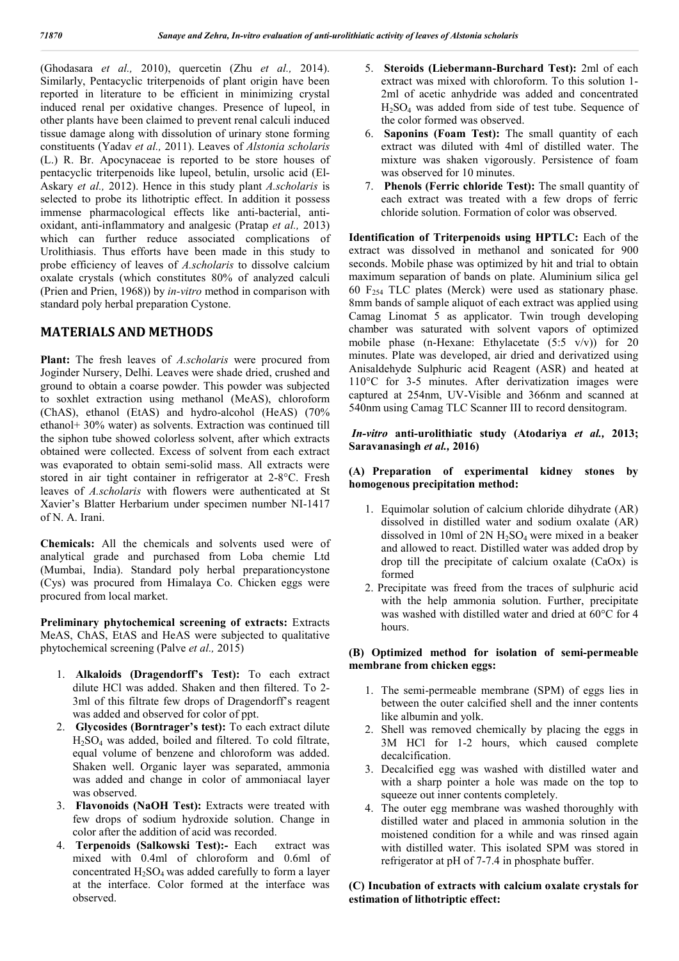(Ghodasara *et al.,* 2010), quercetin (Zhu *et al.,* 2014). Similarly, Pentacyclic triterpenoids of plant origin have been reported in literature to be efficient in minimizing crystal induced renal per oxidative changes. Presence of lupeol, in other plants have been claimed to prevent renal calculi induced tissue damage along with dissolution of urinary stone forming constituents (Yadav *et al.,* 2011). Leaves of *Alstonia scholaris* (L.) R. Br. Apocynaceae is reported to be store houses of pentacyclic triterpenoids like lupeol, betulin, ursolic acid (El-Askary *et al.,* 2012). Hence in this study plant *A.scholaris* is selected to probe its lithotriptic effect. In addition it possess immense pharmacological effects like anti-bacterial, antioxidant, anti-inflammatory and analgesic (Pratap *et al.,* 2013) which can further reduce associated complications of Urolithiasis. Thus efforts have been made in this study to probe efficiency of leaves of *A.scholaris* to dissolve calcium oxalate crystals (which constitutes 80% of analyzed calculi (Prien and Prien, 1968)) by *in-vitro* method in comparison with standard poly herbal preparation Cystone.

# **MATERIALS AND METHODS**

**Plant:** The fresh leaves of *A.scholaris* were procured from Joginder Nursery, Delhi. Leaves were shade dried, crushed and ground to obtain a coarse powder. This powder was subjected to soxhlet extraction using methanol (MeAS), chloroform (ChAS), ethanol (EtAS) and hydro-alcohol (HeAS) (70% ethanol+ 30% water) as solvents. Extraction was continued till the siphon tube showed colorless solvent, after which extracts obtained were collected. Excess of solvent from each extract was evaporated to obtain semi-solid mass. All extracts were stored in air tight container in refrigerator at 2-8°C. Fresh leaves of *A.scholaris* with flowers were authenticated at St Xavier's Blatter Herbarium under specimen number NI-1417 of N. A. Irani.

**Chemicals:** All the chemicals and solvents used were of analytical grade and purchased from Loba chemie Ltd (Mumbai, India). Standard poly herbal preparationcystone (Cys) was procured from Himalaya Co. Chicken eggs were procured from local market.

**Preliminary phytochemical screening of extracts:** Extracts MeAS, ChAS, EtAS and HeAS were subjected to qualitative phytochemical screening (Palve *et al.,* 2015)

- 1. **Alkaloids (Dragendorff's Test):** To each extract dilute HCl was added. Shaken and then filtered. To 2- 3ml of this filtrate few drops of Dragendorff's reagent was added and observed for color of ppt.
- 2. **Glycosides (Borntrager's test):** To each extract dilute H2SO4 was added, boiled and filtered. To cold filtrate, equal volume of benzene and chloroform was added. Shaken well. Organic layer was separated, ammonia was added and change in color of ammoniacal layer was observed.
- 3. **Flavonoids (NaOH Test):** Extracts were treated with few drops of sodium hydroxide solution. Change in color after the addition of acid was recorded.
- 4. **Terpenoids (Salkowski Test):-** Each extract was mixed with 0.4ml of chloroform and 0.6ml of concentrated  $H_2SO_4$  was added carefully to form a layer at the interface. Color formed at the interface was observed.
- 5. **Steroids (Liebermann-Burchard Test):** 2ml of each extract was mixed with chloroform. To this solution 1- 2ml of acetic anhydride was added and concentrated H2SO4 was added from side of test tube. Sequence of the color formed was observed.
- 6. **Saponins (Foam Test):** The small quantity of each extract was diluted with 4ml of distilled water. The mixture was shaken vigorously. Persistence of foam was observed for 10 minutes.
- 7. **Phenols (Ferric chloride Test):** The small quantity of each extract was treated with a few drops of ferric chloride solution. Formation of color was observed.

**Identification of Triterpenoids using HPTLC:** Each of the extract was dissolved in methanol and sonicated for 900 seconds. Mobile phase was optimized by hit and trial to obtain maximum separation of bands on plate. Aluminium silica gel 60  $F<sub>254</sub> TLC$  plates (Merck) were used as stationary phase. 8mm bands of sample aliquot of each extract was applied using Camag Linomat 5 as applicator. Twin trough developing chamber was saturated with solvent vapors of optimized mobile phase (n-Hexane: Ethylacetate  $(5:5 \text{ v/v})$ ) for 20 minutes. Plate was developed, air dried and derivatized using Anisaldehyde Sulphuric acid Reagent (ASR) and heated at 110°C for 3-5 minutes. After derivatization images were captured at 254nm, UV-Visible and 366nm and scanned at 540nm using Camag TLC Scanner III to record densitogram.

### *In-vitro* **anti-urolithiatic study (Atodariya** *et al.,* **2013; Saravanasingh** *et al.,* **2016)**

### **(A) Preparation of experimental kidney stones by homogenous precipitation method:**

- 1. Equimolar solution of calcium chloride dihydrate (AR) dissolved in distilled water and sodium oxalate (AR) dissolved in 10ml of  $2N H_2SO_4$  were mixed in a beaker and allowed to react. Distilled water was added drop by drop till the precipitate of calcium oxalate (CaOx) is formed
- 2. Precipitate was freed from the traces of sulphuric acid with the help ammonia solution. Further, precipitate was washed with distilled water and dried at 60°C for 4 hours.

## **(B) Optimized method for isolation of semi-permeable membrane from chicken eggs:**

- 1. The semi-permeable membrane (SPM) of eggs lies in between the outer calcified shell and the inner contents like albumin and yolk.
- 2. Shell was removed chemically by placing the eggs in 3M HCl for 1-2 hours, which caused complete decalcification.
- 3. Decalcified egg was washed with distilled water and with a sharp pointer a hole was made on the top to squeeze out inner contents completely.
- 4. The outer egg membrane was washed thoroughly with distilled water and placed in ammonia solution in the moistened condition for a while and was rinsed again with distilled water. This isolated SPM was stored in refrigerator at pH of 7-7.4 in phosphate buffer.

**(C) Incubation of extracts with calcium oxalate crystals for estimation of lithotriptic effect:**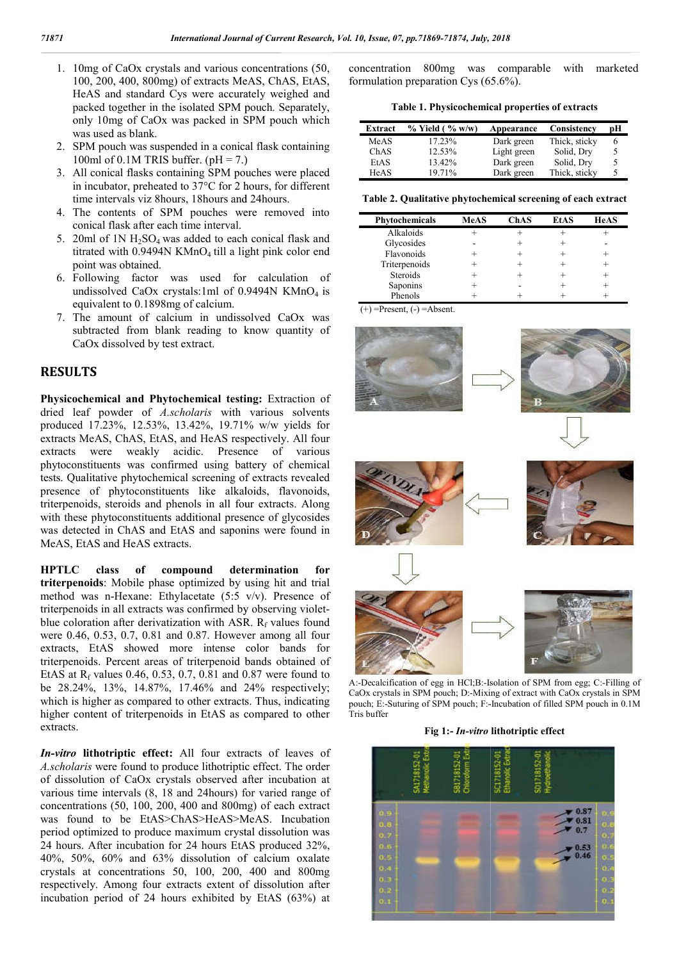- 1. 10mg of CaOx crystals and various concentrations (50, 100, 200, 400, 800mg) of extracts MeAS, ChAS, EtAS, HeAS and standard Cys were accurately weighed and packed together in the isolated SPM pouch. Separately, only 10mg of CaOx was packed in SPM pouch which was used as blank.
- 2. SPM pouch was suspended in a conical flask containing 100ml of 0.1M TRIS buffer.  $(pH = 7)$ .
- 3. All conical flasks containing SPM pouches were placed in incubator, preheated to 37°C for 2 hours, for different time intervals viz 8hours, 18hours and 24hours.
- 4. The contents of SPM pouches were removed into conical flask after each time interval. ator, preheated to 37°C for 2 hours, for different<br>ervals viz 8hours, 18hours and 24hours.<br>ntents of SPM pouches were removed into<br>flask after each time interval.<br>1N  $H_2SO_4$  was added to each conical flask and
- 5. 20ml of  $1N H_2SO_4$  was added to each conical flask and titrated with  $0.9494N$  KMnO<sub>4</sub> till a light pink color end point was obtained.
- 6. Following factor was used for calculation of undissolved CaOx crystals:1ml of  $0.9494N$  KMnO<sub>4</sub> is equivalent to 0.1898mg of calcium.
- 7. The amount of calcium in undissolved CaOx was subtracted from blank reading to know quantity of CaOx dissolved by test extract.

# **RESULTS**

Physicochemical and Phytochemical testing: Extraction of dried leaf powder of *A.scholaris* with various solvents produced 17.23%, 12.53%, 13.42%, 19.71% w/w yields for extracts MeAS, ChAS, EtAS, and HeAS respectively. All four extracts were weakly acidic. Presence of various phytoconstituents was confirmed using battery of chemical tests. Qualitative phytochemical screening of extracts revealed presence of phytoconstituents like alkaloids, flavonoids, triterpenoids, steroids and phenols in all four extracts. Along with these phytoconstituents additional presence of glycosides was detected in ChAS and EtAS and saponins were found in MeAS, EtAS and HeAS extracts.

**HPTLC class of compound determination for triterpenoids**: Mobile phase optimized by using hit and trial method was n-Hexane: Ethylacetate  $(5.5 \text{ v/v})$ . Presence of triterpenoids in all extracts was confirmed by observing violettriterpenoids in all extracts was confirmed by observing violet blue coloration after derivatization with ASR.  $R_f$  values found were 0.46, 0.53, 0.7, 0.81 and 0.87. However among all four extracts, EtAS showed more intense color bands for triterpenoids. Percent areas of triterpenoid bands obtained of EtAS at  $R_f$  values 0.46, 0.53, 0.7, 0.81 and 0.87 were found to be 28.24%, 13%, 14.87%, 17.46% and 24% respectively; which is higher as compared to other extracts. Thus, indicating higher content of triterpenoids in EtAS as compared to other extracts.

*In-vitro* **lithotriptic effect:** All four extracts of leaves of *A.scholaris* were found to produce lithotriptic effect. The order of dissolution of CaOx crystals observed after incubation at various time intervals (8, 18 and 24hours) for varied range of concentrations (50, 100, 200, 400 and 800mg) of each extract was found to be EtAS>ChAS>HeAS>MeAS. Incubation period optimized to produce maximum crystal dissolution was 24 hours. After incubation for 24 hours EtAS produced 32%, 40%, 50%, 60% and 63% dissolution of calcium oxalate crystals at concentrations 50, 100, 200, 400 and 800mg respectively. Among four extracts extent of dissolution after incubation period of 24 hours exhibited by EtAS (63%) at

formulation preparation Cys (65.6%). concentration 800mg was comparable with marketed

**Table 1. Physicochemical properties of extracts 1. Physicochemical** 

| Extract     | $%$ Yield ( $%$ w/w) | Appearance  | Consistency   | pН |
|-------------|----------------------|-------------|---------------|----|
| MeAS        | 17.23%               | Dark green  | Thick, sticky | 6  |
| ChAS        | 12.53%               | Light green | Solid, Dry    | 5  |
| EtAS        | 13.42%               | Dark green  | Solid, Dry    | 5  |
| <b>HeAS</b> | 19.71%               | Dark green  | Thick, sticky | 5  |

**Table 2. Qualitative phytochemical screening phytochemical screening of each extract**

| Phytochemicals  | <b>MeAS</b> | <b>ChAS</b> | <b>EtAS</b> | <b>HeAS</b> |
|-----------------|-------------|-------------|-------------|-------------|
| Alkaloids       |             |             |             |             |
| Glycosides      |             |             |             |             |
| Flavonoids      |             |             |             |             |
| Triterpenoids   |             |             |             |             |
| <b>Steroids</b> |             |             |             |             |
| Saponins        |             |             |             |             |
| Phenols         |             |             |             |             |

 $(+)$  =Present,  $(-)$  =Absent.



A:-Decalcification of egg in HCl;B:-Isolation of SPM from egg; C:-Filling of CaOx crystals in SPM pouch; D:-Mixing of extract with CaOx crystals in SPM CaOx crystals in SPM pouch; D:-Mixing of extract with CaOx crystals in SPM pouch; E:-Suturing of SPM pouch; F:-Incubation of filled SPM pouch in 0.1M Tris buffer

#### **Fig 1:-** *In-vitro* **lithotriptic effect**

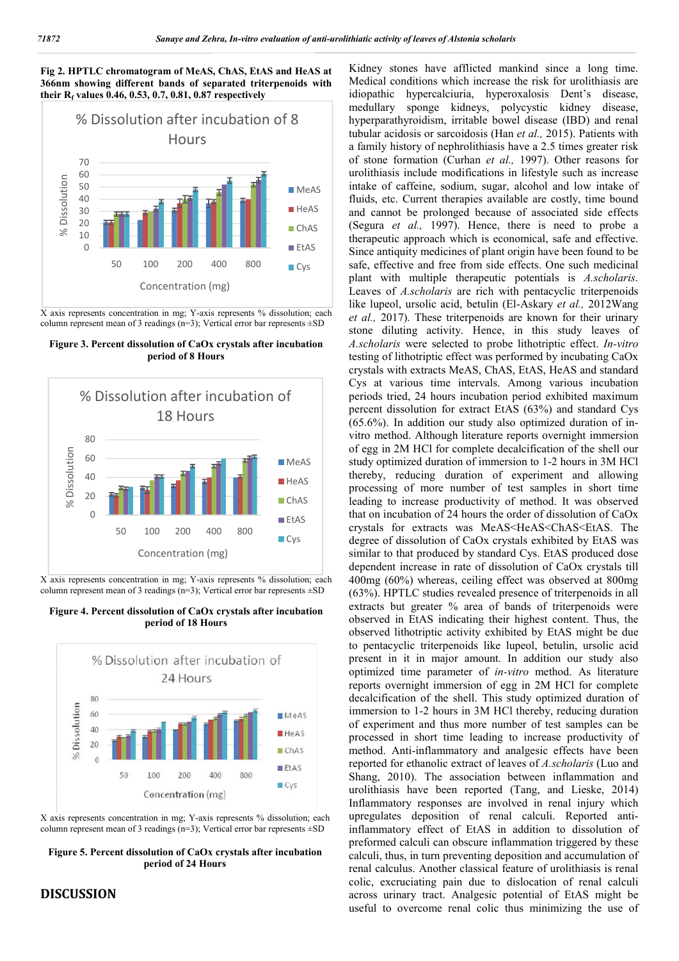#### **Fig 2. HPTLC chromatogram of MeAS, ChAS, EtAS and HeAS at 366nm showing different bands of separated triterpenoids with their Rf values 0.46, 0.53, 0.7, 0.81, 0.87 respectively**



X axis represents concentration in mg; Y-axis represents % dissolution; each column represent mean of 3 readings  $(n=3)$ ; Vertical error bar represents  $\pm SD$ 

**Figure 3. Percent dissolution of CaOx crystals after incubation period of 8 Hours**



X axis represents concentration in mg; Y-axis represents % dissolution; each column represent mean of 3 readings (n=3); Vertical error bar represents ±SD

**Figure 4. Percent dissolution of CaOx crystals after incubation period of 18 Hours**



X axis represents concentration in mg; Y-axis represents % dissolution; each column represent mean of 3 readings (n=3); Vertical error bar represents ±SD

**Figure 5. Percent dissolution of CaOx crystals after incubation period of 24 Hours**

# **DISCUSSION**

Kidney stones have afflicted mankind since a long time. Medical conditions which increase the risk for urolithiasis are idiopathic hypercalciuria, hyperoxalosis Dent's disease, medullary sponge kidneys, polycystic kidney disease, hyperparathyroidism, irritable bowel disease (IBD) and renal tubular acidosis or sarcoidosis (Han *et al.,* 2015). Patients with a family history of nephrolithiasis have a 2.5 times greater risk of stone formation (Curhan *et al.,* 1997). Other reasons for urolithiasis include modifications in lifestyle such as increase intake of caffeine, sodium, sugar, alcohol and low intake of fluids, etc. Current therapies available are costly, time bound and cannot be prolonged because of associated side effects (Segura *et al.,* 1997). Hence, there is need to probe a therapeutic approach which is economical, safe and effective. Since antiquity medicines of plant origin have been found to be safe, effective and free from side effects. One such medicinal plant with multiple therapeutic potentials is *A.scholaris*. Leaves of *A.scholaris* are rich with pentacyclic triterpenoids like lupeol, ursolic acid, betulin (El-Askary *et al.,* 2012Wang *et al.,* 2017). These triterpenoids are known for their urinary stone diluting activity. Hence, in this study leaves of *A.scholaris* were selected to probe lithotriptic effect. *In-vitro* testing of lithotriptic effect was performed by incubating CaOx crystals with extracts MeAS, ChAS, EtAS, HeAS and standard Cys at various time intervals. Among various incubation periods tried, 24 hours incubation period exhibited maximum percent dissolution for extract EtAS (63%) and standard Cys (65.6%). In addition our study also optimized duration of invitro method. Although literature reports overnight immersion of egg in 2M HCl for complete decalcification of the shell our study optimized duration of immersion to 1-2 hours in 3M HCl thereby, reducing duration of experiment and allowing processing of more number of test samples in short time leading to increase productivity of method. It was observed that on incubation of 24 hours the order of dissolution of CaOx crystals for extracts was MeAS<HeAS<ChAS<EtAS. The degree of dissolution of CaOx crystals exhibited by EtAS was similar to that produced by standard Cys. EtAS produced dose dependent increase in rate of dissolution of CaOx crystals till 400mg (60%) whereas, ceiling effect was observed at 800mg (63%). HPTLC studies revealed presence of triterpenoids in all extracts but greater % area of bands of triterpenoids were observed in EtAS indicating their highest content. Thus, the observed lithotriptic activity exhibited by EtAS might be due to pentacyclic triterpenoids like lupeol, betulin, ursolic acid present in it in major amount. In addition our study also optimized time parameter of *in-vitro* method. As literature reports overnight immersion of egg in 2M HCl for complete decalcification of the shell. This study optimized duration of immersion to 1-2 hours in 3M HCl thereby, reducing duration of experiment and thus more number of test samples can be processed in short time leading to increase productivity of method. Anti-inflammatory and analgesic effects have been reported for ethanolic extract of leaves of *A.scholaris* (Luo and Shang, 2010). The association between inflammation and urolithiasis have been reported (Tang, and Lieske, 2014) Inflammatory responses are involved in renal injury which upregulates deposition of renal calculi. Reported antiinflammatory effect of EtAS in addition to dissolution of preformed calculi can obscure inflammation triggered by these calculi, thus, in turn preventing deposition and accumulation of renal calculus. Another classical feature of urolithiasis is renal colic, excruciating pain due to dislocation of renal calculi across urinary tract. Analgesic potential of EtAS might be useful to overcome renal colic thus minimizing the use of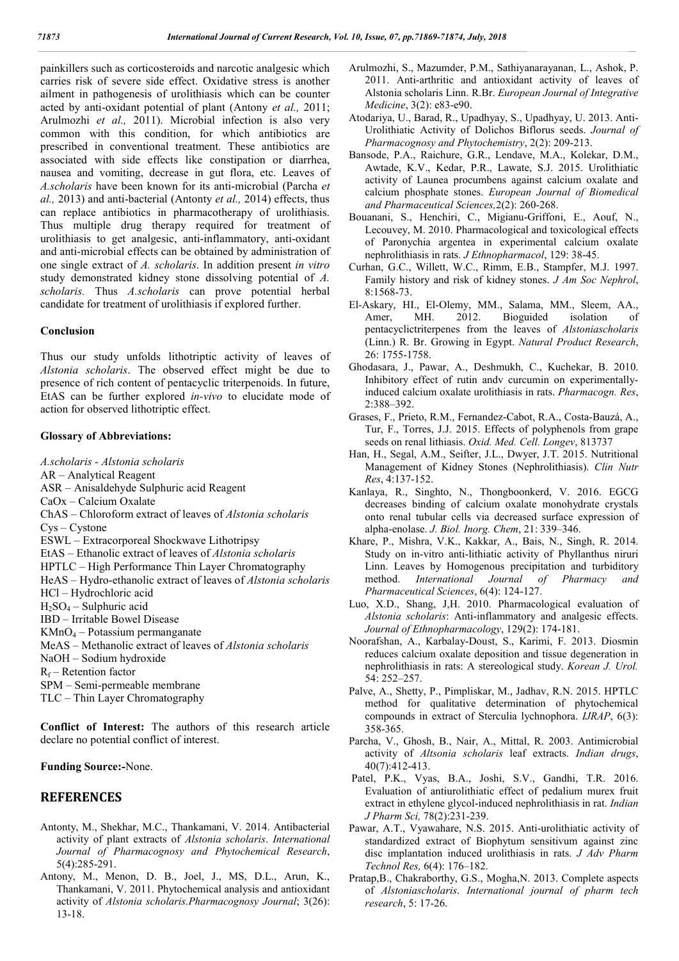painkillers such as corticosteroids and narcotic analgesic which carries risk of severe side effect. Oxidative stress is another ailment in pathogenesis of urolithiasis which can be counter acted by anti-oxidant potential of plant (Antony *et al.,* 2011; Arulmozhi *et al.,* 2011). Microbial infection is also very common with this condition, for which antibiotics are prescribed in conventional treatment. These antibiotics are associated with side effects like constipation or diarrhea, nausea and vomiting, decrease in gut flora, etc. Leaves of *A.scholaris* have been known for its anti-microbial (Parcha *et al.,* 2013) and anti-bacterial (Antonty *et al.,* 2014) effects, thus can replace antibiotics in pharmacotherapy of urolithiasis. Thus multiple drug therapy required for treatment of urolithiasis to get analgesic, anti-inflammatory, anti-oxidant and anti-microbial effects can be obtained by administration of one single extract of *A. scholaris*. In addition present *in vitro* study demonstrated kidney stone dissolving potential of *A. scholaris.* Thus *A.scholaris* can prove potential herbal candidate for treatment of urolithiasis if explored further.

#### **Conclusion**

Thus our study unfolds lithotriptic activity of leaves of *Alstonia scholaris*. The observed effect might be due to presence of rich content of pentacyclic triterpenoids. In future, EtAS can be further explored *in-vivo* to elucidate mode of action for observed lithotriptic effect.

### **Glossary of Abbreviations:**

*A.scholaris - Alstonia scholaris* AR – Analytical Reagent ASR – Anisaldehyde Sulphuric acid Reagent CaOx – Calcium Oxalate ChAS – Chloroform extract of leaves of *Alstonia scholaris* Cys – Cystone ESWL – Extracorporeal Shockwave Lithotripsy EtAS – Ethanolic extract of leaves of *Alstonia scholaris* HPTLC – High Performance Thin Layer Chromatography HeAS – Hydro-ethanolic extract of leaves of *Alstonia scholaris* HCl – Hydrochloric acid  $H_2SO_4$  – Sulphuric acid IBD – Irritable Bowel Disease  $KMnO<sub>4</sub> - Potassium permanganate$ MeAS – Methanolic extract of leaves of *Alstonia scholaris* NaOH – Sodium hydroxide  $R_f$  – Retention factor SPM – Semi-permeable membrane TLC – Thin Layer Chromatography

**Conflict of Interest:** The authors of this research article declare no potential conflict of interest.

**Funding Source:-**None.

### **REFERENCES**

- Antonty, M., Shekhar, M.C., Thankamani, V. 2014. Antibacterial activity of plant extracts of *Alstonia scholaris*. *International Journal of Pharmacognosy and Phytochemical Research*, 5(4):285-291.
- Antony, M., Menon, D. B., Joel, J., MS, D.L., Arun, K., Thankamani, V. 2011. Phytochemical analysis and antioxidant activity of *Alstonia scholaris.Pharmacognosy Journal*; 3(26): 13-18.
- Arulmozhi, S., Mazumder, P.M., Sathiyanarayanan, L., Ashok, P. 2011. Anti-arthritic and antioxidant activity of leaves of Alstonia scholaris Linn. R.Br. *European Journal of Integrative Medicine*, 3(2): e83-e90.
- Atodariya, U., Barad, R., Upadhyay, S., Upadhyay, U. 2013. Anti-Urolithiatic Activity of Dolichos Biflorus seeds. *Journal of Pharmacognosy and Phytochemistry*, 2(2): 209-213.
- Bansode, P.A., Raichure, G.R., Lendave, M.A., Kolekar, D.M., Awtade, K.V., Kedar, P.R., Lawate, S.J. 2015. Urolithiatic activity of Launea procumbens against calcium oxalate and calcium phosphate stones. *European Journal of Biomedical and Pharmaceutical Sciences,*2(2): 260-268.
- Bouanani, S., Henchiri, C., Migianu-Griffoni, E., Aouf, N., Lecouvey, M. 2010. Pharmacological and toxicological effects of Paronychia argentea in experimental calcium oxalate nephrolithiasis in rats. *J Ethnopharmacol*, 129: 38-45.
- Curhan, G.C., Willett, W.C., Rimm, E.B., Stampfer, M.J. 1997. Family history and risk of kidney stones. *J Am Soc Nephrol*, 8:1568-73.
- El-Askary, HI., El-Olemy, MM., Salama, MM., Sleem, AA., Amer, MH. 2012. Bioguided isolation of pentacyclictriterpenes from the leaves of *Alstoniascholaris* (Linn.) R. Br. Growing in Egypt. *Natural Product Research*, 26: 1755-1758.
- Ghodasara, J., Pawar, A., Deshmukh, C., Kuchekar, B. 2010. Inhibitory effect of rutin andv curcumin on experimentallyinduced calcium oxalate urolithiasis in rats. *Pharmacogn. Res*, 2:388–392.
- Grases, F., Prieto, R.M., Fernandez-Cabot, R.A., Costa-Bauzá, A., Tur, F., Torres, J.J. 2015. Effects of polyphenols from grape seeds on renal lithiasis. *Oxid. Med. Cell. Longev*, 813737
- Han, H., Segal, A.M., Seifter, J.L., Dwyer, J.T. 2015. Nutritional Management of Kidney Stones (Nephrolithiasis). *Clin Nutr Res*, 4:137-152.
- Kanlaya, R., Singhto, N., Thongboonkerd, V. 2016. EGCG decreases binding of calcium oxalate monohydrate crystals onto renal tubular cells via decreased surface expression of alpha-enolase. *J. Biol. Inorg. Chem*, 21: 339–346.
- Khare, P., Mishra, V.K., Kakkar, A., Bais, N., Singh, R. 2014. Study on in-vitro anti-lithiatic activity of Phyllanthus niruri Linn. Leaves by Homogenous precipitation and turbiditory method. *International Journal of Pharmacy and Pharmaceutical Sciences*, 6(4): 124-127.
- Luo, X.D., Shang, J,H. 2010. Pharmacological evaluation of *Alstonia scholaris*: Anti-inflammatory and analgesic effects. *Journal of Ethnopharmacology*, 129(2): 174-181.
- Noorafshan, A., Karbalay-Doust, S., Karimi, F. 2013. Diosmin reduces calcium oxalate deposition and tissue degeneration in nephrolithiasis in rats: A stereological study. *Korean J. Urol.* 54: 252–257.
- Palve, A., Shetty, P., Pimpliskar, M., Jadhav, R.N. 2015. HPTLC method for qualitative determination of phytochemical compounds in extract of Sterculia lychnophora. *IJRAP*, 6(3): 358-365.
- Parcha, V., Ghosh, B., Nair, A., Mittal, R. 2003. Antimicrobial activity of *Altsonia scholaris* leaf extracts. *Indian drugs*, 40(7):412-413.
- Patel, P.K., Vyas, B.A., Joshi, S.V., Gandhi, T.R. 2016. Evaluation of antiurolithiatic effect of pedalium murex fruit extract in ethylene glycol-induced nephrolithiasis in rat. *Indian J Pharm Sci,* 78(2):231-239.
- Pawar, A.T., Vyawahare, N.S. 2015. Anti-urolithiatic activity of standardized extract of Biophytum sensitivum against zinc disc implantation induced urolithiasis in rats. *J Adv Pharm Technol Res,* 6(4): 176–182.
- Pratap,B., Chakraborthy, G.S., Mogha,N. 2013. Complete aspects of *Alstoniascholaris*. *International journal of pharm tech research*, 5: 17-26.